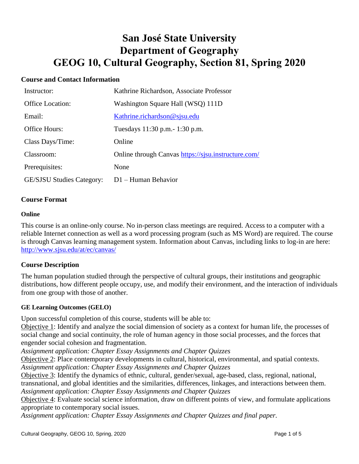# **San José State University Department of Geography GEOG 10, Cultural Geography, Section 81, Spring 2020**

## **Course and Contact Information**

| Instructor:                      | Kathrine Richardson, Associate Professor            |
|----------------------------------|-----------------------------------------------------|
| <b>Office Location:</b>          | Washington Square Hall (WSQ) 111D                   |
| Email:                           | Kathrine.richardson@sjsu.edu                        |
| Office Hours:                    | Tuesdays 11:30 p.m. - 1:30 p.m.                     |
| Class Days/Time:                 | Online                                              |
| Classroom:                       | Online through Canvas https://sjsu.instructure.com/ |
| Prerequisites:                   | None                                                |
| <b>GE/SJSU Studies Category:</b> | $D1 -$ Human Behavior                               |

#### **Course Format**

#### **Online**

This course is an online-only course. No in-person class meetings are required. Access to a computer with a reliable Internet connection as well as a word processing program (such as MS Word) are required. The course is through Canvas learning management system. Information about Canvas, including links to log-in are here: <http://www.sjsu.edu/at/ec/canvas/>

#### **Course Description**

The human population studied through the perspective of cultural groups, their institutions and geographic distributions, how different people occupy, use, and modify their environment, and the interaction of individuals from one group with those of another.

#### **GE Learning Outcomes (GELO)**

Upon successful completion of this course, students will be able to:

Objective 1: Identify and analyze the social dimension of society as a context for human life, the processes of social change and social continuity, the role of human agency in those social processes, and the forces that engender social cohesion and fragmentation.

*Assignment application: Chapter Essay Assignments and Chapter Quizzes*

Objective 2: Place contemporary developments in cultural, historical, environmental, and spatial contexts. *Assignment application: Chapter Essay Assignments and Chapter Quizzes*

Objective 3: Identify the dynamics of ethnic, cultural, gender/sexual, age-based, class, regional, national, transnational, and global identities and the similarities, differences, linkages, and interactions between them. *Assignment application: Chapter Essay Assignments and Chapter Quizzes*

Objective 4: Evaluate social science information, draw on different points of view, and formulate applications appropriate to contemporary social issues.

*Assignment application: Chapter Essay Assignments and Chapter Quizzes and final paper.*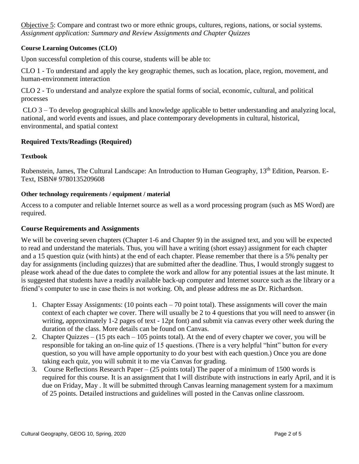Objective 5: Compare and contrast two or more ethnic groups, cultures, regions, nations, or social systems. *Assignment application: Summary and Review Assignments and Chapter Quizzes* 

#### **Course Learning Outcomes (CLO)**

Upon successful completion of this course, students will be able to:

CLO 1 - To understand and apply the key geographic themes, such as location, place, region, movement, and human-environment interaction

CLO 2 - To understand and analyze explore the spatial forms of social, economic, cultural, and political processes

CLO 3 – To develop geographical skills and knowledge applicable to better understanding and analyzing local, national, and world events and issues, and place contemporary developments in cultural, historical, environmental, and spatial context

## **Required Texts/Readings (Required)**

#### **Textbook**

Rubenstein, James, The Cultural Landscape: An Introduction to Human Geography, 13<sup>th</sup> Edition, Pearson. E-Text, ISBN# 9780135209608

#### **Other technology requirements / equipment / material**

Access to a computer and reliable Internet source as well as a word processing program (such as MS Word) are required.

#### **Course Requirements and Assignments**

We will be covering seven chapters (Chapter 1-6 and Chapter 9) in the assigned text, and you will be expected to read and understand the materials. Thus, you will have a writing (short essay) assignment for each chapter and a 15 question quiz (with hints) at the end of each chapter. Please remember that there is a 5% penalty per day for assignments (including quizzes) that are submitted after the deadline. Thus, I would strongly suggest to please work ahead of the due dates to complete the work and allow for any potential issues at the last minute. It is suggested that students have a readily available back-up computer and Internet source such as the library or a friend's computer to use in case theirs is not working. Oh, and please address me as Dr. Richardson.

- 1. Chapter Essay Assignments: (10 points each 70 point total). These assignments will cover the main context of each chapter we cover. There will usually be 2 to 4 questions that you will need to answer (in writing, approximately 1-2 pages of text - 12pt font) and submit via canvas every other week during the duration of the class. More details can be found on Canvas.
- 2. Chapter Quizzes (15 pts each 105 points total). At the end of every chapter we cover, you will be responsible for taking an on-line quiz of 15 questions. (There is a very helpful "hint" button for every question, so you will have ample opportunity to do your best with each question.) Once you are done taking each quiz, you will submit it to me via Canvas for grading.
- 3. Course Reflections Research Paper (25 points total) The paper of a minimum of 1500 words is required for this course. It is an assignment that I will distribute with instructions in early April, and it is due on Friday, May . It will be submitted through Canvas learning management system for a maximum of 25 points. Detailed instructions and guidelines will posted in the Canvas online classroom.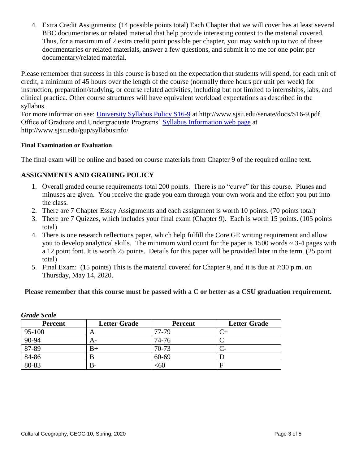4. Extra Credit Assignments: (14 possible points total) Each Chapter that we will cover has at least several BBC documentaries or related material that help provide interesting context to the material covered. Thus, for a maximum of 2 extra credit point possible per chapter, you may watch up to two of these documentaries or related materials, answer a few questions, and submit it to me for one point per documentary/related material.

Please remember that success in this course is based on the expectation that students will spend, for each unit of credit, a minimum of 45 hours over the length of the course (normally three hours per unit per week) for instruction, preparation/studying, or course related activities, including but not limited to internships, labs, and clinical practica. Other course structures will have equivalent workload expectations as described in the syllabus.

For more information see: [University Syllabus Policy S16-9](http://www.sjsu.edu/senate/docs/S16-9.pdf) at http://www.sjsu.edu/senate/docs/S16-9.pdf. Office of Graduate and Undergraduate Programs' [Syllabus Information](http://www.sjsu.edu/gup/syllabusinfo/) web page at http://www.sjsu.edu/gup/syllabusinfo/

#### **Final Examination or Evaluation**

The final exam will be online and based on course materials from Chapter 9 of the required online text.

# **ASSIGNMENTS AND GRADING POLICY**

- 1. Overall graded course requirements total 200 points. There is no "curve" for this course. Pluses and minuses are given. You receive the grade you earn through your own work and the effort you put into the class.
- 2. There are 7 Chapter Essay Assignments and each assignment is worth 10 points. (70 points total)
- 3. There are 7 Quizzes, which includes your final exam (Chapter 9). Each is worth 15 points. (105 points total)
- 4. There is one research reflections paper, which help fulfill the Core GE writing requirement and allow you to develop analytical skills. The minimum word count for the paper is  $1500$  words  $\sim$  3-4 pages with a 12 point font. It is worth 25 points. Details for this paper will be provided later in the term. (25 point total)
- 5. Final Exam: (15 points) This is the material covered for Chapter 9, and it is due at 7:30 p.m. on Thursday, May 14, 2020.

## **Please remember that this course must be passed with a C or better as a CSU graduation requirement.**

| UTUU DUU       |                     |                |                     |  |
|----------------|---------------------|----------------|---------------------|--|
| <b>Percent</b> | <b>Letter Grade</b> | <b>Percent</b> | <b>Letter Grade</b> |  |
| 95-100         | A                   | 77-79          |                     |  |
| 90-94          | A-                  | 74-76          |                     |  |
| 87-89          | B+                  | 70-73          |                     |  |
| 84-86          |                     | 60-69          |                     |  |
| 80-83          | В-                  | $<$ 60         |                     |  |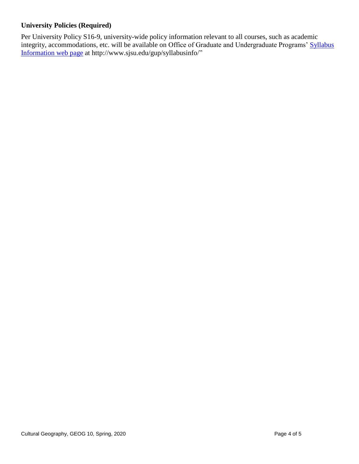# **University Policies (Required)**

Per University Policy S16-9, university-wide policy information relevant to all courses, such as academic integrity, accommodations, etc. will be available on Office of Graduate and Undergraduate Programs' [Syllabus](http://www.sjsu.edu/gup/syllabusinfo/)  [Information](http://www.sjsu.edu/gup/syllabusinfo/) web page at http://www.sjsu.edu/gup/syllabusinfo/"